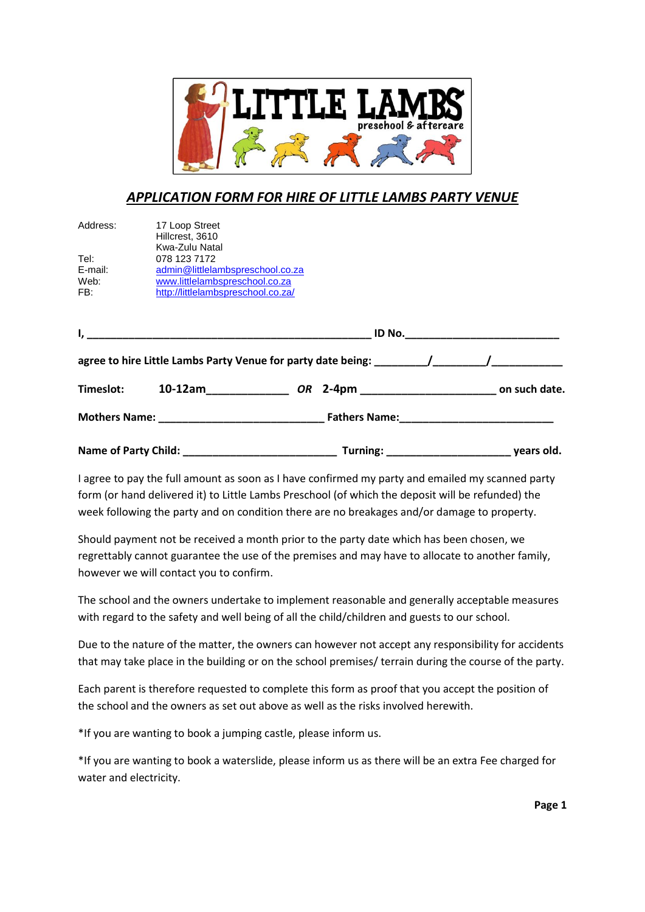

## *APPLICATION FORM FOR HIRE OF LITTLE LAMBS PARTY VENUE*

| Address:                       | 17 Loop Street<br>Hillcrest, 3610<br>Kwa-Zulu Natal                                                                                                                                                           |  |  |
|--------------------------------|---------------------------------------------------------------------------------------------------------------------------------------------------------------------------------------------------------------|--|--|
| Tel:<br>E-mail:<br>Web:<br>FB: | 078 123 7172<br>admin@littlelambspreschool.co.za<br>www.littlelambspreschool.co.za<br>http://littlelambspreschool.co.za/                                                                                      |  |  |
|                                | $ID$ No. $\Box$<br><u> 1989 - Johann Harry Harry Harry Harry Harry Harry Harry Harry Harry Harry Harry Harry Harry Harry Harry Harry</u><br><u> 1989 - Johann John Stone, mars eta biztanleria (h. 1989).</u> |  |  |
|                                | agree to hire Little Lambs Party Venue for party date being: $\overline{\phantom{a}}$                                                                                                                         |  |  |
| Timeslot:                      | 10-12am<br>OR                                                                                                                                                                                                 |  |  |
|                                | <b>Fathers Name:</b>                                                                                                                                                                                          |  |  |
|                                |                                                                                                                                                                                                               |  |  |

I agree to pay the full amount as soon as I have confirmed my party and emailed my scanned party form (or hand delivered it) to Little Lambs Preschool (of which the deposit will be refunded) the week following the party and on condition there are no breakages and/or damage to property.

**Name of Party Child: \_\_\_\_\_\_\_\_\_\_\_\_\_\_\_\_\_\_\_\_\_\_\_\_\_\_ Turning: \_\_\_\_\_\_\_\_\_\_\_\_\_\_\_\_\_\_\_\_\_ years old.**

Should payment not be received a month prior to the party date which has been chosen, we regrettably cannot guarantee the use of the premises and may have to allocate to another family, however we will contact you to confirm.

The school and the owners undertake to implement reasonable and generally acceptable measures with regard to the safety and well being of all the child/children and guests to our school.

Due to the nature of the matter, the owners can however not accept any responsibility for accidents that may take place in the building or on the school premises/ terrain during the course of the party.

Each parent is therefore requested to complete this form as proof that you accept the position of the school and the owners as set out above as well as the risks involved herewith.

\*If you are wanting to book a jumping castle, please inform us.

\*If you are wanting to book a waterslide, please inform us as there will be an extra Fee charged for water and electricity.